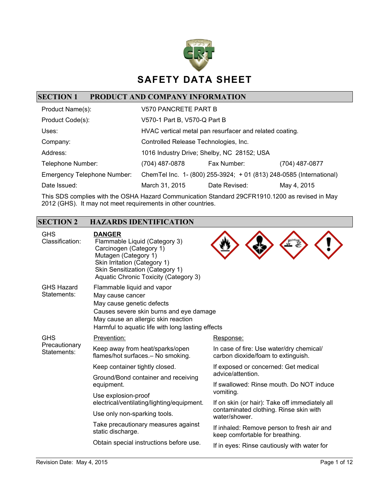

# **SECTION 1 PRODUCT AND COMPANY INFORMATION**

| Product Name(s):                   | V570 PANCRETE PART B                  |                                                                     |                |
|------------------------------------|---------------------------------------|---------------------------------------------------------------------|----------------|
| Product Code(s):                   | V570-1 Part B, V570-Q Part B          |                                                                     |                |
| Uses:                              |                                       | HVAC vertical metal pan resurfacer and related coating.             |                |
| Company:                           | Controlled Release Technologies, Inc. |                                                                     |                |
| Address:                           |                                       | 1016 Industry Drive; Shelby, NC 28152; USA                          |                |
| Telephone Number:                  | (704) 487-0878                        | Fax Number:                                                         | (704) 487-0877 |
| <b>Emergency Telephone Number:</b> |                                       | ChemTel Inc. 1- (800) 255-3924; + 01 (813) 248-0585 (International) |                |
| Date Issued:                       | March 31, 2015                        | Date Revised:                                                       | May 4, 2015    |

This SDS complies with the OSHA Hazard Communication Standard 29CFR1910.1200 as revised in May 2012 (GHS). It may not meet requirements in other countries.

## **SECTION 2 HAZARDS IDENTIFICATION**

| <b>GHS</b><br>Classification:    | <b>DANGER</b><br>Flammable Liquid (Category 3)<br>Carcinogen (Category 1)<br>Mutagen (Category 1)<br>Skin Irritation (Category 1)<br>Skin Sensitization (Category 1)<br>Aquatic Chronic Toxicity (Category 3)      |                                                                                |
|----------------------------------|--------------------------------------------------------------------------------------------------------------------------------------------------------------------------------------------------------------------|--------------------------------------------------------------------------------|
| <b>GHS Hazard</b><br>Statements: | Flammable liquid and vapor<br>May cause cancer<br>May cause genetic defects<br>Causes severe skin burns and eye damage<br>May cause an allergic skin reaction<br>Harmful to aquatic life with long lasting effects |                                                                                |
| <b>GHS</b>                       | Prevention:                                                                                                                                                                                                        | Response:                                                                      |
| Precautionary<br>Statements:     | Keep away from heat/sparks/open<br>flames/hot surfaces.- No smoking.                                                                                                                                               | In case of fire: Use water/dry chemical/<br>carbon dioxide/foam to extinguish. |
|                                  | Keep container tightly closed.                                                                                                                                                                                     | If exposed or concerned: Get medical                                           |
|                                  | Ground/Bond container and receiving<br>equipment.                                                                                                                                                                  | advice/attention.<br>If swallowed: Rinse mouth. Do NOT induce                  |
|                                  | Use explosion-proof<br>electrical/ventilating/lighting/equipment.                                                                                                                                                  | vomiting.<br>If on skin (or hair): Take off immediately all                    |
|                                  | Use only non-sparking tools.                                                                                                                                                                                       | contaminated clothing. Rinse skin with<br>water/shower.                        |
|                                  | Take precautionary measures against<br>static discharge.                                                                                                                                                           | If inhaled: Remove person to fresh air and<br>keep comfortable for breathing.  |
|                                  | Obtain special instructions before use.                                                                                                                                                                            | If in eyes: Rinse cautiously with water for                                    |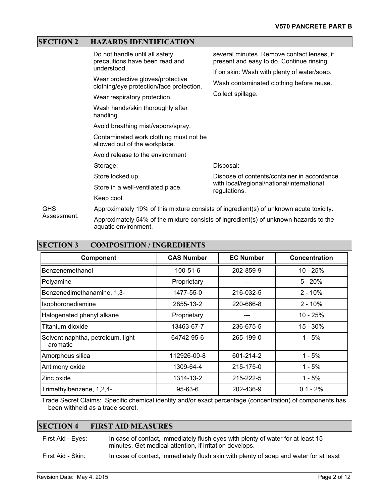### **SECTION 2 HAZARDS IDENTIFICATION**

|             | Do not handle until all safety<br>precautions have been read and<br>understood.        | several minutes. Remove contact lenses, if<br>present and easy to do. Continue rinsing.<br>If on skin: Wash with plenty of water/soap. |  |
|-------------|----------------------------------------------------------------------------------------|----------------------------------------------------------------------------------------------------------------------------------------|--|
|             | Wear protective gloves/protective<br>clothing/eye protection/face protection.          | Wash contaminated clothing before reuse.<br>Collect spillage.                                                                          |  |
|             | Wear respiratory protection.                                                           |                                                                                                                                        |  |
|             | Wash hands/skin thoroughly after<br>handling.                                          |                                                                                                                                        |  |
|             | Avoid breathing mist/vapors/spray.                                                     |                                                                                                                                        |  |
|             | Contaminated work clothing must not be<br>allowed out of the workplace.                |                                                                                                                                        |  |
|             | Avoid release to the environment                                                       |                                                                                                                                        |  |
|             | Storage:                                                                               | Disposal:                                                                                                                              |  |
|             | Store locked up.                                                                       | Dispose of contents/container in accordance                                                                                            |  |
|             | Store in a well-ventilated place.                                                      | with local/regional/national/international<br>regulations.                                                                             |  |
|             | Keep cool.                                                                             |                                                                                                                                        |  |
| <b>GHS</b>  | Approximately 19% of this mixture consists of ingredient(s) of unknown acute toxicity. |                                                                                                                                        |  |
| Assessment: | A ILLEAN FUILLE IN THE PUNIT II IN THE                                                 |                                                                                                                                        |  |

Approximately 54% of the mixture consists of ingredient(s) of unknown hazards to the aquatic environment.

| <b>SECTION 3</b><br><b>COMPOSITION / INGREDIENTS</b> |                   |                  |                      |
|------------------------------------------------------|-------------------|------------------|----------------------|
| Component                                            | <b>CAS Number</b> | <b>EC Number</b> | <b>Concentration</b> |
| Benzenemethanol                                      | $100 - 51 - 6$    | 202-859-9        | $10 - 25%$           |
| Polyamine                                            | Proprietary       |                  | $5 - 20%$            |
| Benzenedimethanamine, 1,3-                           | 1477-55-0         | 216-032-5        | $2 - 10%$            |
| Isophoronediamine                                    | 2855-13-2         | 220-666-8        | $2 - 10%$            |
| Halogenated phenyl alkane                            | Proprietary       | ---              | $10 - 25%$           |
| Titanium dioxide                                     | 13463-67-7        | 236-675-5        | 15 - 30%             |
| Solvent naphtha, petroleum, light<br>aromatic        | 64742-95-6        | 265-199-0        | $1 - 5%$             |
| Amorphous silica                                     | 112926-00-8       | 601-214-2        | $1 - 5%$             |
| Antimony oxide                                       | 1309-64-4         | 215-175-0        | $1 - 5%$             |
| Zinc oxide                                           | 1314-13-2         | 215-222-5        | $1 - 5%$             |
| Trimethylbenzene, 1,2,4-                             | $95 - 63 - 6$     | 202-436-9        | $0.1 - 2%$           |

Trade Secret Claims: Specific chemical identity and/or exact percentage (concentration) of components has been withheld as a trade secret.

#### **SECTION 4 FIRST AID MEASURES**

First Aid - Eyes: In case of contact, immediately flush eyes with plenty of water for at least 15 minutes. Get medical attention, if irritation develops.

First Aid - Skin: In case of contact, immediately flush skin with plenty of soap and water for at least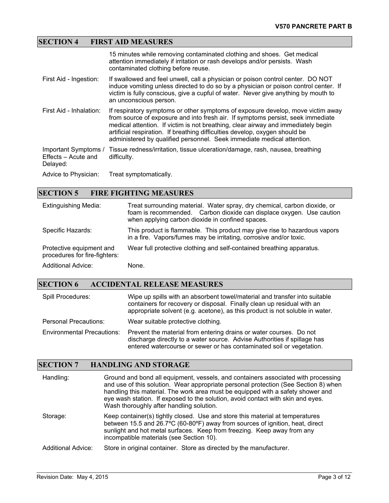# **SECTION 4 FIRST AID MEASURES**

|                                                         | 15 minutes while removing contaminated clothing and shoes. Get medical<br>attention immediately if irritation or rash develops and/or persists. Wash<br>contaminated clothing before reuse.                                                                                                                                                                                                                      |
|---------------------------------------------------------|------------------------------------------------------------------------------------------------------------------------------------------------------------------------------------------------------------------------------------------------------------------------------------------------------------------------------------------------------------------------------------------------------------------|
| First Aid - Ingestion:                                  | If swallowed and feel unwell, call a physician or poison control center. DO NOT<br>induce vomiting unless directed to do so by a physician or poison control center. If<br>victim is fully conscious, give a cupful of water. Never give anything by mouth to<br>an unconscious person.                                                                                                                          |
| First Aid - Inhalation:                                 | If respiratory symptoms or other symptoms of exposure develop, move victim away<br>from source of exposure and into fresh air. If symptoms persist, seek immediate<br>medical attention. If victim is not breathing, clear airway and immediately begin<br>artificial respiration. If breathing difficulties develop, oxygen should be<br>administered by qualified personnel. Seek immediate medical attention. |
| Important Symptoms /<br>Effects – Acute and<br>Delayed: | Tissue redness/irritation, tissue ulceration/damage, rash, nausea, breathing<br>difficulty.                                                                                                                                                                                                                                                                                                                      |
| Advice to Physician:                                    | Treat symptomatically.                                                                                                                                                                                                                                                                                                                                                                                           |

# **SECTION 5 FIRE FIGHTING MEASURES**

| <b>Extinguishing Media:</b>                               | Treat surrounding material. Water spray, dry chemical, carbon dioxide, or<br>foam is recommended. Carbon dioxide can displace oxygen. Use caution<br>when applying carbon dioxide in confined spaces. |
|-----------------------------------------------------------|-------------------------------------------------------------------------------------------------------------------------------------------------------------------------------------------------------|
| Specific Hazards:                                         | This product is flammable. This product may give rise to hazardous vapors<br>in a fire. Vapors/fumes may be irritating, corrosive and/or toxic.                                                       |
| Protective equipment and<br>procedures for fire-fighters: | Wear full protective clothing and self-contained breathing apparatus.                                                                                                                                 |
| <b>Additional Advice:</b>                                 | None.                                                                                                                                                                                                 |

# **SECTION 6 ACCIDENTAL RELEASE MEASURES**

| <b>Spill Procedures:</b>          | Wipe up spills with an absorbent towel/material and transfer into suitable<br>containers for recovery or disposal. Finally clean up residual with an<br>appropriate solvent (e.g. acetone), as this product is not soluble in water. |
|-----------------------------------|--------------------------------------------------------------------------------------------------------------------------------------------------------------------------------------------------------------------------------------|
| Personal Precautions:             | Wear suitable protective clothing.                                                                                                                                                                                                   |
| <b>Environmental Precautions:</b> | Prevent the material from entering drains or water courses. Do not<br>discharge directly to a water source. Advise Authorities if spillage has<br>entered watercourse or sewer or has contaminated soil or vegetation.               |

### **SECTION 7 HANDLING AND STORAGE**

| Handling:                 | Ground and bond all equipment, vessels, and containers associated with processing<br>and use of this solution. Wear appropriate personal protection (See Section 8) when<br>handling this material. The work area must be equipped with a safety shower and<br>eye wash station. If exposed to the solution, avoid contact with skin and eyes.<br>Wash thoroughly after handling solution. |
|---------------------------|--------------------------------------------------------------------------------------------------------------------------------------------------------------------------------------------------------------------------------------------------------------------------------------------------------------------------------------------------------------------------------------------|
| Storage:                  | Keep container(s) tightly closed. Use and store this material at temperatures<br>between 15.5 and 26.7°C (60-80°F) away from sources of ignition, heat, direct<br>sunlight and hot metal surfaces. Keep from freezing. Keep away from any<br>incompatible materials (see Section 10).                                                                                                      |
| <b>Additional Advice:</b> | Store in original container. Store as directed by the manufacturer.                                                                                                                                                                                                                                                                                                                        |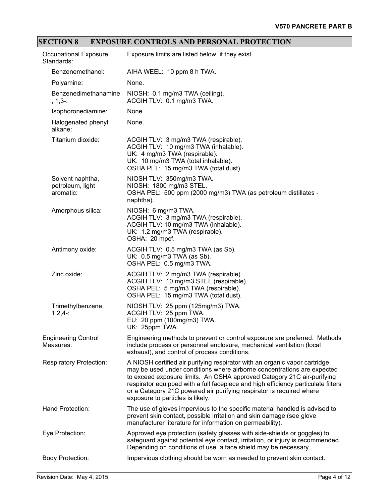# **SECTION 8 EXPOSURE CONTROLS AND PERSONAL PROTECTION**

| Occupational Exposure<br>Standards:               | Exposure limits are listed below, if they exist.                                                                                                                                                                                                                                                                                                                                                                                 |
|---------------------------------------------------|----------------------------------------------------------------------------------------------------------------------------------------------------------------------------------------------------------------------------------------------------------------------------------------------------------------------------------------------------------------------------------------------------------------------------------|
| Benzenemethanol:                                  | AIHA WEEL: 10 ppm 8 h TWA.                                                                                                                                                                                                                                                                                                                                                                                                       |
| Polyamine:                                        | None.                                                                                                                                                                                                                                                                                                                                                                                                                            |
| Benzenedimethanamine<br>$, 1, 3 - 1$              | NIOSH: 0.1 mg/m3 TWA (ceiling).<br>ACGIH TLV: 0.1 mg/m3 TWA.                                                                                                                                                                                                                                                                                                                                                                     |
| Isophoronediamine:                                | None.                                                                                                                                                                                                                                                                                                                                                                                                                            |
| Halogenated phenyl<br>alkane:                     | None.                                                                                                                                                                                                                                                                                                                                                                                                                            |
| Titanium dioxide:                                 | ACGIH TLV: 3 mg/m3 TWA (respirable).<br>ACGIH TLV: 10 mg/m3 TWA (inhalable).<br>UK: 4 mg/m3 TWA (respirable).<br>UK: 10 mg/m3 TWA (total inhalable).<br>OSHA PEL: 15 mg/m3 TWA (total dust).                                                                                                                                                                                                                                     |
| Solvent naphtha,<br>petroleum, light<br>aromatic: | NIOSH TLV: 350mg/m3 TWA.<br>NIOSH: 1800 mg/m3 STEL.<br>OSHA PEL: 500 ppm (2000 mg/m3) TWA (as petroleum distillates -<br>naphtha).                                                                                                                                                                                                                                                                                               |
| Amorphous silica:                                 | NIOSH: 6 mg/m3 TWA.<br>ACGIH TLV: 3 mg/m3 TWA (respirable).<br>ACGIH TLV: 10 mg/m3 TWA (inhalable).<br>UK: 1.2 mg/m3 TWA (respirable).<br>OSHA: 20 mpcf.                                                                                                                                                                                                                                                                         |
| Antimony oxide:                                   | ACGIH TLV: 0.5 mg/m3 TWA (as Sb).<br>UK: 0.5 mg/m3 TWA (as Sb).<br>OSHA PEL: 0.5 mg/m3 TWA.                                                                                                                                                                                                                                                                                                                                      |
| Zinc oxide:                                       | ACGIH TLV: 2 mg/m3 TWA (respirable).<br>ACGIH TLV: 10 mg/m3 STEL (respirable).<br>OSHA PEL: 5 mg/m3 TWA (respirable).<br>OSHA PEL: 15 mg/m3 TWA (total dust).                                                                                                                                                                                                                                                                    |
| Trimethylbenzene,<br>$1,2,4-$                     | NIOSH TLV: 25 ppm (125mg/m3) TWA.<br>ACGIH TLV: 25 ppm TWA.<br>EU: 20 ppm (100mg/m3) TWA.<br>UK: 25ppm TWA.                                                                                                                                                                                                                                                                                                                      |
| <b>Engineering Control</b><br>Measures:           | Engineering methods to prevent or control exposure are preferred. Methods<br>include process or personnel enclosure, mechanical ventilation (local<br>exhaust), and control of process conditions.                                                                                                                                                                                                                               |
| <b>Respiratory Protection:</b>                    | A NIOSH certified air purifying respirator with an organic vapor cartridge<br>may be used under conditions where airborne concentrations are expected<br>to exceed exposure limits. An OSHA approved Category 21C air-purifying<br>respirator equipped with a full facepiece and high efficiency particulate filters<br>or a Category 21C powered air purifying respirator is required where<br>exposure to particles is likely. |
| Hand Protection:                                  | The use of gloves impervious to the specific material handled is advised to<br>prevent skin contact, possible irritation and skin damage (see glove<br>manufacturer literature for information on permeability).                                                                                                                                                                                                                 |
| Eye Protection:                                   | Approved eye protection (safety glasses with side-shields or goggles) to<br>safeguard against potential eye contact, irritation, or injury is recommended.<br>Depending on conditions of use, a face shield may be necessary.                                                                                                                                                                                                    |
| <b>Body Protection:</b>                           | Impervious clothing should be worn as needed to prevent skin contact.                                                                                                                                                                                                                                                                                                                                                            |
|                                                   |                                                                                                                                                                                                                                                                                                                                                                                                                                  |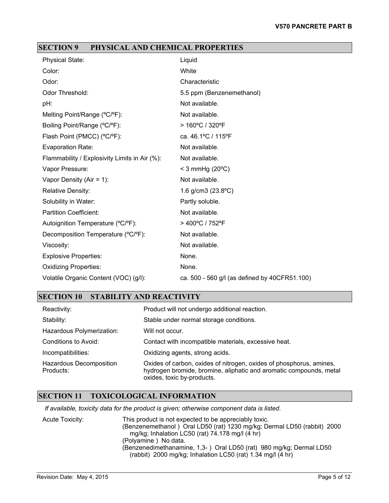### **SECTION 9 PHYSICAL AND CHEMICAL PROPERTIES**

| <b>Physical State:</b>                        | Liquid                                        |
|-----------------------------------------------|-----------------------------------------------|
| Color:                                        | White                                         |
| Odor:                                         | Characteristic                                |
| Odor Threshold:                               | 5.5 ppm (Benzenemethanol)                     |
| pH:                                           | Not available.                                |
| Melting Point/Range (°C/°F):                  | Not available.                                |
| Boiling Point/Range (°C/°F):                  | > 160°C / 320°F                               |
| Flash Point (PMCC) (°C/°F):                   | ca. 46.1°C / 115°F                            |
| Evaporation Rate:                             | Not available.                                |
| Flammability / Explosivity Limits in Air (%): | Not available.                                |
| Vapor Pressure:                               | < 3 mmHg $(20^{\circ}C)$                      |
| Vapor Density (Air = $1$ ):                   | Not available.                                |
| <b>Relative Density:</b>                      | 1.6 g/cm3 (23.8°C)                            |
| Solubility in Water:                          | Partly soluble.                               |
| <b>Partition Coefficient:</b>                 | Not available.                                |
| Autoignition Temperature (°C/°F):             | > 400°C / 752°F                               |
| Decomposition Temperature (°C/°F):            | Not available.                                |
| Viscosity:                                    | Not available.                                |
| <b>Explosive Properties:</b>                  | None.                                         |
| <b>Oxidizing Properties:</b>                  | None.                                         |
| Volatile Organic Content (VOC) (g/l):         | ca. 500 - 560 g/l (as defined by 40CFR51.100) |

# **SECTION 10 STABILITY AND REACTIVITY**

| Reactivity:                                 | Product will not undergo additional reaction.                                                                                                                           |
|---------------------------------------------|-------------------------------------------------------------------------------------------------------------------------------------------------------------------------|
| Stability:                                  | Stable under normal storage conditions.                                                                                                                                 |
| Hazardous Polymerization:                   | Will not occur.                                                                                                                                                         |
| Conditions to Avoid:                        | Contact with incompatible materials, excessive heat.                                                                                                                    |
| Incompatibilities:                          | Oxidizing agents, strong acids.                                                                                                                                         |
| <b>Hazardous Decomposition</b><br>Products: | Oxides of carbon, oxides of nitrogen, oxides of phosphorus, amines,<br>hydrogen bromide, bromine, aliphatic and aromatic compounds, metal<br>oxides, toxic by-products. |

### **SECTION 11 TOXICOLOGICAL INFORMATION**

*If available, toxicity data for the product is given; otherwise component data is listed.*

Acute Toxicity: This product is not expected to be appreciably toxic. (Benzenemethanol ) Oral LD50 (rat) 1230 mg/kg; Dermal LD50 (rabbit) 2000 mg/kg; Inhalation LC50 (rat) 74.178 mg/l (4 hr) (Polyamine ) No data. (Benzenedimethanamine, 1,3- ) Oral LD50 (rat) 980 mg/kg; Dermal LD50 (rabbit) 2000 mg/kg; Inhalation LC50 (rat) 1.34 mg/l (4 hr)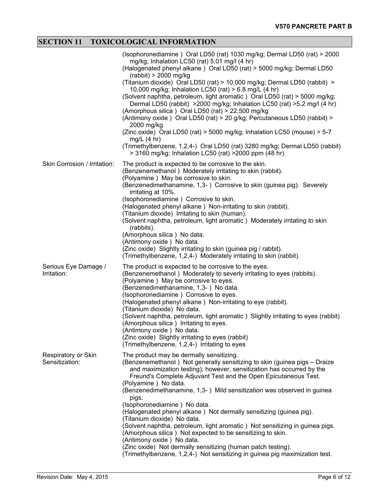# **SECTION 11 TOXICOLOGICAL INFORMATION**

|                                       | (Isophoronediamine) Oral LD50 (rat) 1030 mg/kg; Dermal LD50 (rat) > 2000<br>mg/kg; Inhalation LC50 (rat) 5.01 mg/l (4 hr)<br>(Halogenated phenyl alkane) Oral LD50 (rat) > 5000 mg/kg; Dermal LD50<br>$(rabbit) > 2000$ mg/kg<br>(Titanium dioxide) Oral LD50 (rat) > 10,000 mg/kg; Dermal LD50 (rabbit) ><br>10,000 mg/kg; Inhalation LC50 (rat) > 6.8 mg/L (4 hr)<br>(Solvent naphtha, petroleum, light aromatic) Oral LD50 (rat) > 5000 mg/kg;<br>Dermal LD50 (rabbit) >2000 mg/kg; Inhalation LC50 (rat) >5.2 mg/l (4 hr)<br>(Amorphous silica) Oral LD50 (rat) > 22,500 mg/kg<br>(Antimony oxide) Oral LD50 (rat) > 20 g/kg; Percutaneous LD50 (rabbit) ><br>2000 mg/kg<br>(Zinc oxide) Oral LD50 (rat) > 5000 mg/kg; Inhalation LC50 (mouse) > 5-7<br>$mg/L$ (4 hr)<br>(Trimethylbenzene, 1,2,4-) Oral LD50 (rat) 3280 mg/kg; Dermal LD50 (rabbit)<br>> 3160 mg/kg; Inhalation LC50 (rat) > 2000 ppm (48 hr) |
|---------------------------------------|--------------------------------------------------------------------------------------------------------------------------------------------------------------------------------------------------------------------------------------------------------------------------------------------------------------------------------------------------------------------------------------------------------------------------------------------------------------------------------------------------------------------------------------------------------------------------------------------------------------------------------------------------------------------------------------------------------------------------------------------------------------------------------------------------------------------------------------------------------------------------------------------------------------------|
| Skin Corrosion / Irritation:          | The product is expected to be corrosive to the skin.<br>(Benzenemethanol) Moderately irritating to skin (rabbit).<br>(Polyamine) May be corrosive to skin.<br>(Benzenedimethanamine, 1,3-) Corrosive to skin (guinea pig). Severely<br>irritating at 10%.<br>(Isophoronediamine) Corrosive to skin.<br>(Halogenated phenyl alkane) Non-irritating to skin (rabbit).<br>(Titanium dioxide) Irritating to skin (human).<br>(Solvent naphtha, petroleum, light aromatic) Moderately irritating to skin<br>(rabbits).<br>(Amorphous silica) No data.<br>(Antimony oxide) No data.<br>(Zinc oxide) Slightly irritating to skin (guinea pig / rabbit).<br>(Trimethylbenzene, 1,2,4-) Moderately irritating to skin (rabbit).                                                                                                                                                                                             |
| Serious Eye Damage /<br>Irritation:   | The product is expected to be corrosive to the eyes.<br>(Benzenemethanol) Moderately to severly irritating to eyes (rabbits).<br>(Polyamine) May be corrosive to eyes.<br>(Benzenedimethanamine, 1,3-) No data.<br>(Isophoronediamine) Corrosive to eyes.<br>(Halogenated phenyl alkane) Non-irritating to eye (rabbit).<br>(Titanium dioxide) No data.<br>(Solvent naphtha, petroleum, light aromatic) Slightly irritating to eyes (rabbit)<br>(Amorphous silica) Irritating to eyes.<br>(Antimony oxide) No data.<br>(Zinc oxide) Slightly irritating to eyes (rabbit)<br>(Trimethylbenzene, 1,2,4-) Irritating to eyes                                                                                                                                                                                                                                                                                          |
| Respiratory or Skin<br>Sensitization: | The product may be dermally sensitizing.<br>(Benzenemethanol) Not generally sensitizing to skin (guinea pigs - Draize<br>and maximization testing); however, sensitization has occurred by the<br>Freund's Complete Adjuvant Test and the Open Epicutaneous Test.<br>(Polyamine) No data.<br>(Benzenedimethanamine, 1,3-) Mild sensitization was observed in guinea<br>pigs.<br>(Isophoronediamine) No data.<br>(Halogenated phenyl alkane) Not dermally sensitizing (guinea pig).<br>(Titanium dioxide) No data.<br>(Solvent naphtha, petroleum, light aromatic) Not sensitizing in guinea pigs.<br>(Amorphous silica) Not expected to be sensitizing to skin.<br>(Antimony oxide) No data.<br>(Zinc oxide) Not dermally sensitizing (human patch testing).<br>(Trimethylbenzene, 1,2,4-) Not sensitizing in guinea pig maximization test.                                                                        |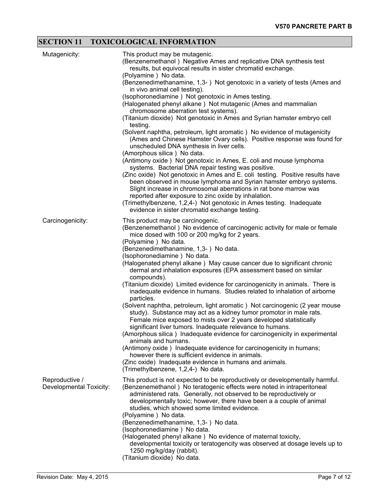# **SECTION 11 TOXICOLOGICAL INFORMATION**

| Mutagenicity:                             | This product may be mutagenic.<br>(Benzenemethanol) Negative Ames and replicative DNA synthesis test<br>results, but equivocal results in sister chromatid exchange.<br>(Polyamine) No data.<br>(Benzenedimethanamine, 1,3-) Not genotoxic in a variety of tests (Ames and<br>in vivo animal cell testing).<br>(Isophoronediamine) Not genotoxic in Ames testing.<br>(Halogenated phenyl alkane) Not mutagenic (Ames and mammalian<br>chromosome aberration test systems).<br>(Titanium dioxide) Not genotoxic in Ames and Syrian hamster embryo cell<br>testing.<br>(Solvent naphtha, petroleum, light aromatic) No evidence of mutagenicity<br>(Ames and Chinese Hamster Ovary cells). Positive response was found for<br>unscheduled DNA synthesis in liver cells.<br>(Amorphous silica) No data.<br>(Antimony oxide) Not genotoxic in Ames, E. coli and mouse lymphoma<br>systems. Bacterial DNA repair testing was positive.<br>(Zinc oxide) Not genotoxic in Ames and E. coli testing. Positive results have<br>been observed in mouse lymphoma and Syrian hamster embryo systems.<br>Slight increase in chromosomal aberrations in rat bone marrow was<br>reported after exposure to zinc oxide by inhalation.<br>(Trimethylbenzene, 1,2,4-) Not genotoxic in Ames testing. Inadequate<br>evidence in sister chromatid exchange testing. |
|-------------------------------------------|-------------------------------------------------------------------------------------------------------------------------------------------------------------------------------------------------------------------------------------------------------------------------------------------------------------------------------------------------------------------------------------------------------------------------------------------------------------------------------------------------------------------------------------------------------------------------------------------------------------------------------------------------------------------------------------------------------------------------------------------------------------------------------------------------------------------------------------------------------------------------------------------------------------------------------------------------------------------------------------------------------------------------------------------------------------------------------------------------------------------------------------------------------------------------------------------------------------------------------------------------------------------------------------------------------------------------------------------------|
| Carcinogenicity:                          | This product may be carcinogenic.<br>(Benzenemethanol) No evidence of carcinogenic activity for male or female<br>mice dosed with 100 or 200 mg/kg for 2 years.<br>(Polyamine) No data.<br>(Benzenedimethanamine, 1,3-) No data.<br>(Isophoronediamine) No data.<br>(Halogenated phenyl alkane) May cause cancer due to significant chronic<br>dermal and inhalation exposures (EPA assessment based on similar<br>compounds).<br>(Titanium dioxide) Limited evidence for carcinogenicity in animals. There is<br>inadequate evidence in humans. Studies related to inhalation of airborne<br>particles.<br>(Solvent naphtha, petroleum, light aromatic) Not carcinogenic (2 year mouse<br>study). Substance may act as a kidney tumor promotor in male rats.<br>Female mice exposed to mists over 2 years developed statistically<br>significant liver tumors. Inadequate relevance to humans.<br>(Amorphous silica) Inadequate evidence for carcinogenicity in experimental<br>animals and humans.<br>(Antimony oxide) Inadequate evidence for carcinogenicity in humans;<br>however there is sufficient evidence in animals.<br>(Zinc oxide) Inadequate evidence in humans and animals.<br>(Trimethylbenzene, 1,2,4-) No data.                                                                                                               |
| Reproductive /<br>Developmental Toxicity: | This product is not expected to be reproductively or developmentally harmful.<br>(Benzenemethanol) No teratogenic effects were noted in intraperitoneal<br>administered rats. Generally, not observed to be reproductively or<br>developmentally toxic; however, there have been a a couple of animal<br>studies, which showed some limited evidence.<br>(Polyamine) No data.<br>(Benzenedimethanamine, 1,3-) No data.<br>(Isophoronediamine) No data.<br>(Halogenated phenyl alkane) No evidence of maternal toxicity,<br>developmental toxicity or teratogencity was observed at dosage levels up to<br>1250 mg/kg/day (rabbit).<br>(Titanium dioxide) No data.                                                                                                                                                                                                                                                                                                                                                                                                                                                                                                                                                                                                                                                                               |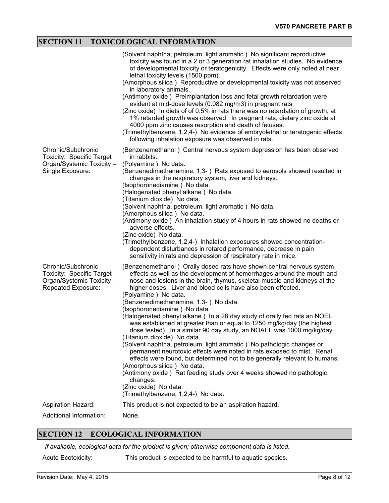# **SECTION 11 TOXICOLOGICAL INFORMATION**

|                                                                                                           | (Solvent naphtha, petroleum, light aromatic) No significant reproductive<br>toxicity was found in a 2 or 3 generation rat inhalation studies. No evidence<br>of developmental toxicity or teratogenicity. Effects were only noted at near<br>lethal toxicity levels (1500 ppm).<br>(Amorphous silica) Reproductive or developmental toxicity was not observed<br>in laboratory animals.<br>(Antimony oxide) Preimplantation loss and fetal growth retardation were<br>evident at mid-dose levels (0.082 mg/m3) in pregnant rats.<br>(Zinc oxide) In diets of of 0.5% in rats there was no retardation of growth; at<br>1% retarded growth was observed. In pregnant rats, dietary zinc oxide at<br>4000 ppm zinc causes resorption and death of fetuses.<br>(Trimethylbenzene, 1,2,4-) No evidence of embryolethal or teratogenic effects<br>following inhalation exposure was observed in rats.                                                                                                                                                                                 |
|-----------------------------------------------------------------------------------------------------------|----------------------------------------------------------------------------------------------------------------------------------------------------------------------------------------------------------------------------------------------------------------------------------------------------------------------------------------------------------------------------------------------------------------------------------------------------------------------------------------------------------------------------------------------------------------------------------------------------------------------------------------------------------------------------------------------------------------------------------------------------------------------------------------------------------------------------------------------------------------------------------------------------------------------------------------------------------------------------------------------------------------------------------------------------------------------------------|
| Chronic/Subchronic<br><b>Toxicity: Specific Target</b><br>Organ/Systemic Toxicity -<br>Single Exposure:   | (Benzenemethanol) Central nervous system depression has been observed<br>in rabbits.<br>(Polyamine) No data.<br>(Benzenedimethanamine, 1,3-) Rats exposed to aerosols showed resulted in<br>changes in the respiratory system, liver and kidneys.<br>(Isophoronediamine) No data.<br>(Halogenated phenyl alkane) No data.<br>(Titanium dioxide) No data.<br>(Solvent naphtha, petroleum, light aromatic) No data.<br>(Amorphous silica) No data.<br>(Antimony oxide) An inhalation study of 4 hours in rats showed no deaths or<br>adverse effects.<br>(Zinc oxide) No data.<br>(Trimethylbenzene, 1,2,4-) Inhalation exposures showed concentration-<br>dependent disturbances in rotarod performance, decrease in pain<br>sensitivity in rats and depression of respiratory rate in mice.                                                                                                                                                                                                                                                                                      |
| Chronic/Subchronic<br><b>Toxicity: Specific Target</b><br>Organ/Systemic Toxicity -<br>Repeated Exposure: | (Benzenemethanol) Orally dosed rats have shown central nervous system<br>effects as well as the development of hemorrhages around the mouth and<br>nose and lesions in the brain, thymus, skeletal muscle and kidneys at the<br>higher doses. Liver and blood cells have also been effected.<br>(Polyamine) No data.<br>(Benzenedimethanamine, 1,3-) No data.<br>(Isophoronediamine) No data.<br>(Halogenated phenyl alkane) In a 28 day study of orally fed rats an NOEL<br>was established at greater than or equal to 1250 mg/kg/day (the highest<br>dose tested). In a similar 90 day study, an NOAEL was 1000 mg/kg/day.<br>(Titanium dioxide) No data.<br>(Solvent naphtha, petroleum, light aromatic) No pathologic changes or<br>permanent neurotoxic effects were noted in rats exposed to mist. Renal<br>effects were found, but determined not to be generally relevant to humans.<br>(Amorphous silica) No data.<br>(Antimony oxide) Rat feeding study over 4 weeks showed no pathologic<br>changes.<br>(Zinc oxide) No data.<br>(Trimethylbenzene, 1,2,4-) No data. |
| Aspiration Hazard:                                                                                        | This product is not expected to be an aspiration hazard.                                                                                                                                                                                                                                                                                                                                                                                                                                                                                                                                                                                                                                                                                                                                                                                                                                                                                                                                                                                                                         |
| Additional Information:                                                                                   | None.                                                                                                                                                                                                                                                                                                                                                                                                                                                                                                                                                                                                                                                                                                                                                                                                                                                                                                                                                                                                                                                                            |

# **SECTION 12 ECOLOGICAL INFORMATION**

*If available, ecological data for the product is given; otherwise component data is listed.*

Acute Ecotoxicity: This product is expected to be harmful to aquatic species.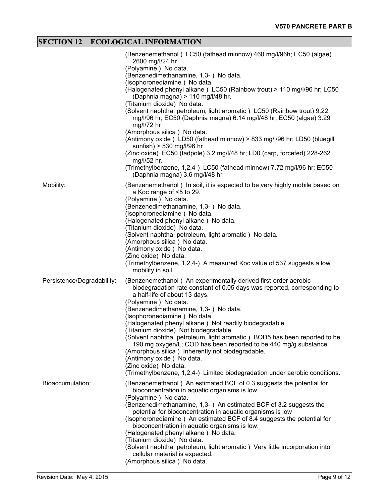# **SECTION 12 ECOLOGICAL INFORMATION**

|                            | (Benzenemethanol) LC50 (fathead minnow) 460 mg/l/96h; EC50 (algae)<br>2600 mg/l/24 hr<br>(Polyamine) No data.<br>(Benzenedimethanamine, 1,3-) No data.<br>(Isophoronediamine) No data.<br>(Halogenated phenyl alkane) LC50 (Rainbow trout) > 110 mg/l/96 hr; LC50<br>(Daphnia magna) > 110 mg/l/48 hr.<br>(Titanium dioxide) No data.<br>(Solvent naphtha, petroleum, light aromatic) LC50 (Rainbow trout) 9.22<br>mg/l/96 hr; EC50 (Daphnia magna) 6.14 mg/l/48 hr; EC50 (algae) 3.29<br>$mg/l/72$ hr<br>(Amorphous silica) No data.                                                                                                                                                                                      |
|----------------------------|----------------------------------------------------------------------------------------------------------------------------------------------------------------------------------------------------------------------------------------------------------------------------------------------------------------------------------------------------------------------------------------------------------------------------------------------------------------------------------------------------------------------------------------------------------------------------------------------------------------------------------------------------------------------------------------------------------------------------|
|                            | (Antimony oxide) LD50 (fathead minnow) > 833 mg/l/96 hr; LD50 (bluegill<br>sunfish) > 530 mg/l/96 hr<br>(Zinc oxide) EC50 (tadpole) 3.2 mg/l/48 hr; LD0 (carp, forcefed) 228-262<br>mg/l/52 hr.<br>(Trimethylbenzene, 1,2,4-) LC50 (fathead minnow) 7.72 mg/l/96 hr; EC50<br>(Daphnia magna) 3.6 mg/l/48 hr                                                                                                                                                                                                                                                                                                                                                                                                                |
| Mobility:                  | (Benzenemethanol) In soil, it is expected to be very highly mobile based on<br>a Koc range of <5 to 29.<br>(Polyamine) No data.<br>(Benzenedimethanamine, 1,3-) No data.<br>(Isophoronediamine) No data.<br>(Halogenated phenyl alkane) No data.<br>(Titanium dioxide) No data.<br>(Solvent naphtha, petroleum, light aromatic) No data.<br>(Amorphous silica) No data.<br>(Antimony oxide) No data.<br>(Zinc oxide) No data.<br>(Trimethylbenzene, 1,2,4-) A measured Koc value of 537 suggests a low<br>mobility in soil.                                                                                                                                                                                                |
| Persistence/Degradability: | (Benzenemethanol) An experimentally derived first-order aerobic<br>biodegradation rate constant of 0.05 days was reported, corresponding to<br>a half-life of about 13 days.<br>(Polyamine) No data.<br>(Benzenedimethanamine, 1,3-) No data.<br>(Isophoronediamine) No data.<br>(Halogenated phenyl alkane) Not readily biodegradable.<br>(Titanium dioxide) Not biodegradable.<br>(Solvent naphtha, petroleum, light aromatic) BOD5 has been reported to be<br>190 mg oxygen/L; COD has been reported to be 440 mg/g substance.<br>(Amorphous silica) Inherently not biodegradable.<br>(Antimony oxide) No data.<br>(Zinc oxide) No data.<br>(Trimethylbenzene, 1,2,4-) Limited biodegradation under aerobic conditions. |
| Bioaccumulation:           | (Benzenemethanol) An estimated BCF of 0.3 suggests the potential for<br>bioconcentration in aquatic organisms is low.<br>(Polyamine) No data.<br>(Benzenedimethanamine, 1,3-) An estimated BCF of 3.2 suggests the<br>potential for bioconcentration in aquatic organisms is low<br>(Isophoronediamine) An estimated BCF of 8.4 suggests the potential for<br>bioconcentration in aquatic organisms is low.<br>(Halogenated phenyl alkane) No data.<br>(Titanium dioxide) No data.<br>(Solvent naphtha, petroleum, light aromatic) Very little incorporation into<br>cellular material is expected.<br>(Amorphous silica) No data.                                                                                         |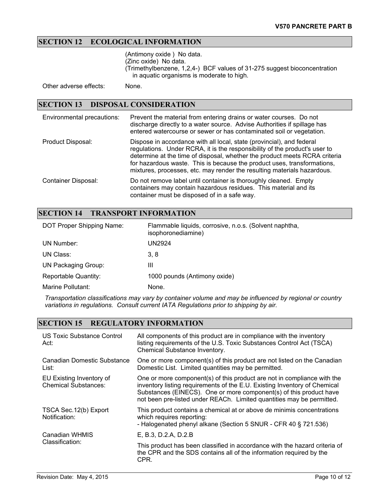# **SECTION 12 ECOLOGICAL INFORMATION**

(Antimony oxide ) No data. (Zinc oxide) No data. (Trimethylbenzene, 1,2,4-) BCF values of 31-275 suggest bioconcentration in aquatic organisms is moderate to high.

Other adverse effects: None.

#### **SECTION 13 DISPOSAL CONSIDERATION**

| Environmental precautions: | Prevent the material from entering drains or water courses. Do not<br>discharge directly to a water source. Advise Authorities if spillage has<br>entered watercourse or sewer or has contaminated soil or vegetation.                                                                                                                                                                  |
|----------------------------|-----------------------------------------------------------------------------------------------------------------------------------------------------------------------------------------------------------------------------------------------------------------------------------------------------------------------------------------------------------------------------------------|
| Product Disposal:          | Dispose in accordance with all local, state (provincial), and federal<br>regulations. Under RCRA, it is the responsibility of the product's user to<br>determine at the time of disposal, whether the product meets RCRA criteria<br>for hazardous waste. This is because the product uses, transformations,<br>mixtures, processes, etc. may render the resulting materials hazardous. |
| <b>Container Disposal:</b> | Do not remove label until container is thoroughly cleaned. Empty<br>containers may contain hazardous residues. This material and its<br>container must be disposed of in a safe way.                                                                                                                                                                                                    |

#### **SECTION 14 TRANSPORT INFORMATION**

| DOT Proper Shipping Name: | Flammable liquids, corrosive, n.o.s. (Solvent naphtha,<br>isophoronediamine) |
|---------------------------|------------------------------------------------------------------------------|
| UN Number:                | UN2924                                                                       |
| UN Class:                 | 3, 8                                                                         |
| UN Packaging Group:       | Ш                                                                            |
| Reportable Quantity:      | 1000 pounds (Antimony oxide)                                                 |
| Marine Pollutant:         | None.                                                                        |

*Transportation classifications may vary by container volume and may be influenced by regional or country variations in regulations. Consult current IATA Regulations prior to shipping by air.*

# **SECTION 15 REGULATORY INFORMATION**

| US Toxic Substance Control<br>Act:                      | All components of this product are in compliance with the inventory<br>listing requirements of the U.S. Toxic Substances Control Act (TSCA)<br>Chemical Substance Inventory.                                                                                                                        |
|---------------------------------------------------------|-----------------------------------------------------------------------------------------------------------------------------------------------------------------------------------------------------------------------------------------------------------------------------------------------------|
| Canadian Domestic Substance<br>List:                    | One or more component(s) of this product are not listed on the Canadian<br>Domestic List. Limited quantities may be permitted.                                                                                                                                                                      |
| EU Existing Inventory of<br><b>Chemical Substances:</b> | One or more component(s) of this product are not in compliance with the<br>inventory listing requirements of the E.U. Existing Inventory of Chemical<br>Substances (EINECS). One or more component(s) of this product have<br>not been pre-listed under REACh. Limited quantities may be permitted. |
| TSCA Sec. 12(b) Export<br>Notification:                 | This product contains a chemical at or above de minimis concentrations<br>which requires reporting:<br>- Halogenated phenyl alkane (Section 5 SNUR - CFR 40 § 721.536)                                                                                                                              |
| Canadian WHMIS                                          | E, B.3, D.2.A, D.2.B                                                                                                                                                                                                                                                                                |
| Classification:                                         | This product has been classified in accordance with the hazard criteria of<br>the CPR and the SDS contains all of the information required by the<br>CPR.                                                                                                                                           |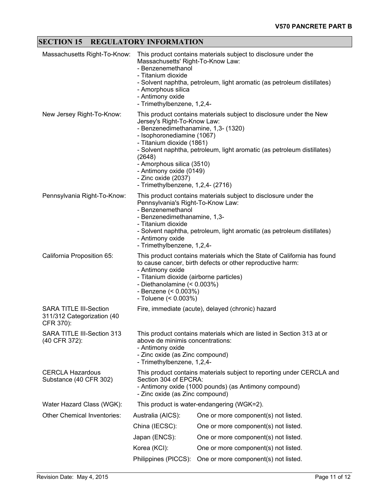# **SECTION 15 REGULATORY INFORMATION**

| Massachusetts Right-To-Know:                                             | This product contains materials subject to disclosure under the<br>Massachusetts' Right-To-Know Law:<br>- Benzenemethanol<br>- Titanium dioxide<br>- Solvent naphtha, petroleum, light aromatic (as petroleum distillates)<br>- Amorphous silica<br>- Antimony oxide<br>- Trimethylbenzene, 1,2,4-                                                                                                            |                                                   |  |  |
|--------------------------------------------------------------------------|---------------------------------------------------------------------------------------------------------------------------------------------------------------------------------------------------------------------------------------------------------------------------------------------------------------------------------------------------------------------------------------------------------------|---------------------------------------------------|--|--|
| New Jersey Right-To-Know:                                                | This product contains materials subject to disclosure under the New<br>Jersey's Right-To-Know Law:<br>- Benzenedimethanamine, 1,3- (1320)<br>- Isophoronediamine (1067)<br>- Titanium dioxide (1861)<br>- Solvent naphtha, petroleum, light aromatic (as petroleum distillates)<br>(2648)<br>- Amorphous silica (3510)<br>- Antimony oxide (0149)<br>- Zinc oxide (2037)<br>- Trimethylbenzene, 1,2,4- (2716) |                                                   |  |  |
| Pennsylvania Right-To-Know:                                              | This product contains materials subject to disclosure under the<br>Pennsylvania's Right-To-Know Law:<br>- Benzenemethanol<br>- Benzenedimethanamine, 1,3-<br>- Titanium dioxide<br>- Solvent naphtha, petroleum, light aromatic (as petroleum distillates)<br>- Antimony oxide<br>- Trimethylbenzene, 1,2,4-                                                                                                  |                                                   |  |  |
| California Proposition 65:                                               | This product contains materials which the State of California has found<br>to cause cancer, birth defects or other reproductive harm:<br>- Antimony oxide<br>- Titanium dioxide (airborne particles)<br>- Diethanolamine (< 0.003%)<br>- Benzene $($ $0.003\%)$<br>- Toluene $( < 0.003\%)$                                                                                                                   |                                                   |  |  |
| <b>SARA TITLE III-Section</b><br>311/312 Categorization (40<br>CFR 370): |                                                                                                                                                                                                                                                                                                                                                                                                               | Fire, immediate (acute), delayed (chronic) hazard |  |  |
| SARA TITLE III-Section 313<br>(40 CFR 372):                              | This product contains materials which are listed in Section 313 at or<br>above de minimis concentrations:<br>- Antimony oxide<br>- Zinc oxide (as Zinc compound)<br>- Trimethylbenzene, 1,2,4-                                                                                                                                                                                                                |                                                   |  |  |
| <b>CERCLA Hazardous</b><br>Substance (40 CFR 302)                        | This product contains materials subject to reporting under CERCLA and<br>Section 304 of EPCRA:<br>- Antimony oxide (1000 pounds) (as Antimony compound)<br>- Zinc oxide (as Zinc compound)                                                                                                                                                                                                                    |                                                   |  |  |
| Water Hazard Class (WGK):                                                |                                                                                                                                                                                                                                                                                                                                                                                                               | This product is water-endangering (WGK=2).        |  |  |
| <b>Other Chemical Inventories:</b>                                       | Australia (AICS):                                                                                                                                                                                                                                                                                                                                                                                             | One or more component(s) not listed.              |  |  |
|                                                                          | China (IECSC):                                                                                                                                                                                                                                                                                                                                                                                                | One or more component(s) not listed.              |  |  |
|                                                                          | Japan (ENCS):                                                                                                                                                                                                                                                                                                                                                                                                 | One or more component(s) not listed.              |  |  |
|                                                                          | Korea (KCI):                                                                                                                                                                                                                                                                                                                                                                                                  | One or more component(s) not listed.              |  |  |
|                                                                          | Philippines (PICCS):                                                                                                                                                                                                                                                                                                                                                                                          | One or more component(s) not listed.              |  |  |